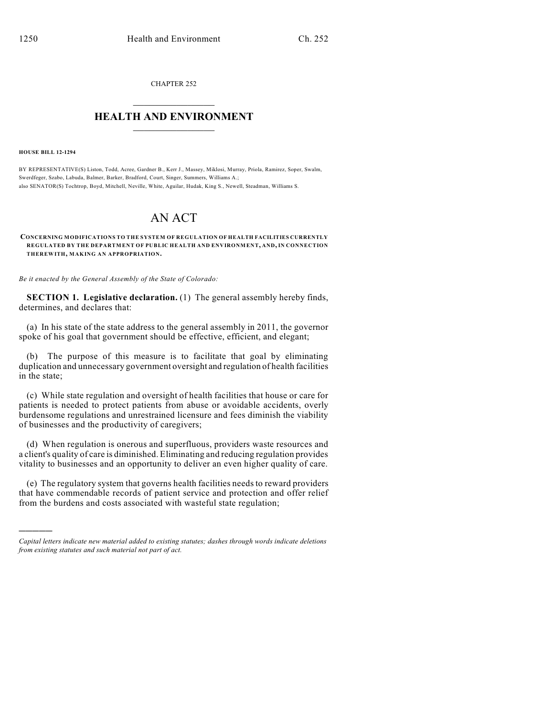CHAPTER 252  $\overline{\phantom{a}}$  . The set of the set of the set of the set of the set of the set of the set of the set of the set of the set of the set of the set of the set of the set of the set of the set of the set of the set of the set o

## **HEALTH AND ENVIRONMENT**  $\_$

**HOUSE BILL 12-1294**

)))))

BY REPRESENTATIVE(S) Liston, Todd, Acree, Gardner B., Kerr J., Massey, Miklosi, Murray, Priola, Ramirez, Soper, Swalm, Swerdfeger, Szabo, Labuda, Balmer, Barker, Bradford, Court, Singer, Summers, Williams A.; also SENATOR(S) Tochtrop, Boyd, Mitchell, Neville, White, Aguilar, Hudak, King S., Newell, Steadman, Williams S.

## AN ACT

**CONCERNING MODIFICATIONS TO THE SYSTEM OF REGULATION OF HEALTH FACILITIES CURRENTLY REGULATED BY THE DEPARTMENT OF PUBLIC HEALTH AND ENVIRONMENT, AND, IN CONNECTION THEREWITH, MAKING AN APPROPRIATION.**

*Be it enacted by the General Assembly of the State of Colorado:*

**SECTION 1. Legislative declaration.** (1) The general assembly hereby finds, determines, and declares that:

(a) In his state of the state address to the general assembly in 2011, the governor spoke of his goal that government should be effective, efficient, and elegant;

(b) The purpose of this measure is to facilitate that goal by eliminating duplication and unnecessary government oversight and regulation of health facilities in the state;

(c) While state regulation and oversight of health facilities that house or care for patients is needed to protect patients from abuse or avoidable accidents, overly burdensome regulations and unrestrained licensure and fees diminish the viability of businesses and the productivity of caregivers;

(d) When regulation is onerous and superfluous, providers waste resources and a client's quality of care is diminished. Eliminating and reducing regulation provides vitality to businesses and an opportunity to deliver an even higher quality of care.

(e) The regulatory system that governs health facilities needs to reward providers that have commendable records of patient service and protection and offer relief from the burdens and costs associated with wasteful state regulation;

*Capital letters indicate new material added to existing statutes; dashes through words indicate deletions from existing statutes and such material not part of act.*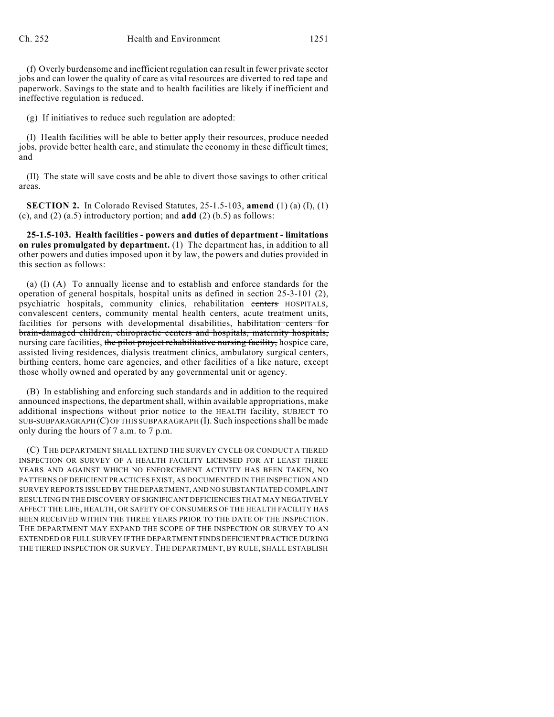(f) Overly burdensome and inefficient regulation can result in fewer private sector jobs and can lower the quality of care as vital resources are diverted to red tape and paperwork. Savings to the state and to health facilities are likely if inefficient and ineffective regulation is reduced.

(g) If initiatives to reduce such regulation are adopted:

(I) Health facilities will be able to better apply their resources, produce needed jobs, provide better health care, and stimulate the economy in these difficult times; and

(II) The state will save costs and be able to divert those savings to other critical areas.

**SECTION 2.** In Colorado Revised Statutes, 25-1.5-103, **amend** (1) (a) (I), (1) (c), and (2) (a.5) introductory portion; and **add** (2) (b.5) as follows:

**25-1.5-103. Health facilities - powers and duties of department - limitations on rules promulgated by department.** (1) The department has, in addition to all other powers and duties imposed upon it by law, the powers and duties provided in this section as follows:

(a) (I) (A) To annually license and to establish and enforce standards for the operation of general hospitals, hospital units as defined in section 25-3-101 (2), psychiatric hospitals, community clinics, rehabilitation centers HOSPITALS, convalescent centers, community mental health centers, acute treatment units, facilities for persons with developmental disabilities, habilitation centers for brain-damaged children, chiropractic centers and hospitals, maternity hospitals, nursing care facilities, the pilot project rehabilitative nursing facility, hospice care, assisted living residences, dialysis treatment clinics, ambulatory surgical centers, birthing centers, home care agencies, and other facilities of a like nature, except those wholly owned and operated by any governmental unit or agency.

(B) In establishing and enforcing such standards and in addition to the required announced inspections, the departmentshall, within available appropriations, make additional inspections without prior notice to the HEALTH facility, SUBJECT TO SUB-SUBPARAGRAPH (C) OF THIS SUBPARAGRAPH (I). Such inspectionsshall be made only during the hours of 7 a.m. to 7 p.m.

(C) THE DEPARTMENT SHALL EXTEND THE SURVEY CYCLE OR CONDUCT A TIERED INSPECTION OR SURVEY OF A HEALTH FACILITY LICENSED FOR AT LEAST THREE YEARS AND AGAINST WHICH NO ENFORCEMENT ACTIVITY HAS BEEN TAKEN, NO PATTERNS OF DEFICIENT PRACTICES EXIST, AS DOCUMENTED IN THE INSPECTION AND SURVEY REPORTS ISSUED BY THE DEPARTMENT, AND NO SUBSTANTIATED COMPLAINT RESULTING IN THE DISCOVERY OF SIGNIFICANT DEFICIENCIES THAT MAY NEGATIVELY AFFECT THE LIFE, HEALTH, OR SAFETY OF CONSUMERS OF THE HEALTH FACILITY HAS BEEN RECEIVED WITHIN THE THREE YEARS PRIOR TO THE DATE OF THE INSPECTION. THE DEPARTMENT MAY EXPAND THE SCOPE OF THE INSPECTION OR SURVEY TO AN EXTENDED OR FULL SURVEY IF THE DEPARTMENT FINDS DEFICIENT PRACTICE DURING THE TIERED INSPECTION OR SURVEY. THE DEPARTMENT, BY RULE, SHALL ESTABLISH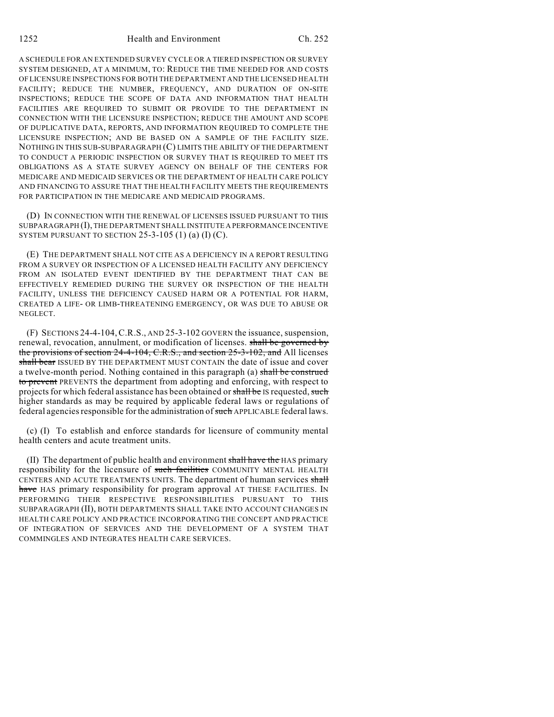1252 Health and Environment Ch. 252

A SCHEDULE FOR AN EXTENDED SURVEY CYCLE OR A TIERED INSPECTION OR SURVEY SYSTEM DESIGNED, AT A MINIMUM, TO: REDUCE THE TIME NEEDED FOR AND COSTS OF LICENSURE INSPECTIONS FOR BOTH THE DEPARTMENT AND THE LICENSED HEALTH FACILITY; REDUCE THE NUMBER, FREQUENCY, AND DURATION OF ON-SITE INSPECTIONS; REDUCE THE SCOPE OF DATA AND INFORMATION THAT HEALTH FACILITIES ARE REQUIRED TO SUBMIT OR PROVIDE TO THE DEPARTMENT IN CONNECTION WITH THE LICENSURE INSPECTION; REDUCE THE AMOUNT AND SCOPE OF DUPLICATIVE DATA, REPORTS, AND INFORMATION REQUIRED TO COMPLETE THE LICENSURE INSPECTION; AND BE BASED ON A SAMPLE OF THE FACILITY SIZE. NOTHING IN THIS SUB-SUBPARAGRAPH (C) LIMITS THE ABILITY OF THE DEPARTMENT TO CONDUCT A PERIODIC INSPECTION OR SURVEY THAT IS REQUIRED TO MEET ITS OBLIGATIONS AS A STATE SURVEY AGENCY ON BEHALF OF THE CENTERS FOR MEDICARE AND MEDICAID SERVICES OR THE DEPARTMENT OF HEALTH CARE POLICY AND FINANCING TO ASSURE THAT THE HEALTH FACILITY MEETS THE REQUIREMENTS FOR PARTICIPATION IN THE MEDICARE AND MEDICAID PROGRAMS.

(D) IN CONNECTION WITH THE RENEWAL OF LICENSES ISSUED PURSUANT TO THIS SUBPARAGRAPH (I), THE DEPARTMENT SHALL INSTITUTE A PERFORMANCE INCENTIVE SYSTEM PURSUANT TO SECTION  $25-3-105$  (1) (a) (I) (C).

(E) THE DEPARTMENT SHALL NOT CITE AS A DEFICIENCY IN A REPORT RESULTING FROM A SURVEY OR INSPECTION OF A LICENSED HEALTH FACILITY ANY DEFICIENCY FROM AN ISOLATED EVENT IDENTIFIED BY THE DEPARTMENT THAT CAN BE EFFECTIVELY REMEDIED DURING THE SURVEY OR INSPECTION OF THE HEALTH FACILITY, UNLESS THE DEFICIENCY CAUSED HARM OR A POTENTIAL FOR HARM, CREATED A LIFE- OR LIMB-THREATENING EMERGENCY, OR WAS DUE TO ABUSE OR NEGLECT.

(F) SECTIONS 24-4-104,C.R.S., AND 25-3-102 GOVERN the issuance, suspension, renewal, revocation, annulment, or modification of licenses. shall be governed by the provisions of section 24-4-104, C.R.S., and section 25-3-102, and All licenses shall bear ISSUED BY THE DEPARTMENT MUST CONTAIN the date of issue and cover a twelve-month period. Nothing contained in this paragraph (a) shall be construed to prevent PREVENTS the department from adopting and enforcing, with respect to projects for which federal assistance has been obtained or shall be IS requested, such higher standards as may be required by applicable federal laws or regulations of federal agencies responsible for the administration of such APPLICABLE federal laws.

(c) (I) To establish and enforce standards for licensure of community mental health centers and acute treatment units.

(II) The department of public health and environment shall have the HAS primary responsibility for the licensure of such facilities COMMUNITY MENTAL HEALTH CENTERS AND ACUTE TREATMENTS UNITS. The department of human services shall have HAS primary responsibility for program approval AT THESE FACILITIES. IN PERFORMING THEIR RESPECTIVE RESPONSIBILITIES PURSUANT TO THIS SUBPARAGRAPH (II), BOTH DEPARTMENTS SHALL TAKE INTO ACCOUNT CHANGES IN HEALTH CARE POLICY AND PRACTICE INCORPORATING THE CONCEPT AND PRACTICE OF INTEGRATION OF SERVICES AND THE DEVELOPMENT OF A SYSTEM THAT COMMINGLES AND INTEGRATES HEALTH CARE SERVICES.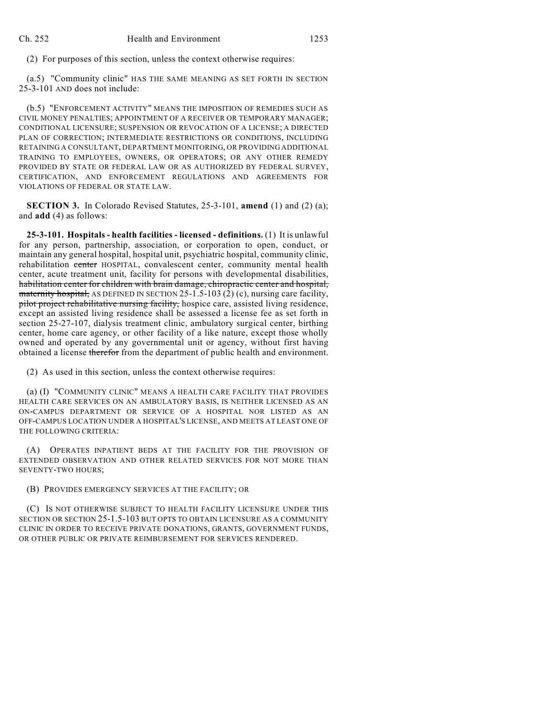(2) For purposes of this section, unless the context otherwise requires:

(a.5) "Community clinic" HAS THE SAME MEANING AS SET FORTH IN SECTION 25-3-101 AND does not include:

(b.5) "ENFORCEMENT ACTIVITY" MEANS THE IMPOSITION OF REMEDIES SUCH AS CIVIL MONEY PENALTIES; APPOINTMENT OF A RECEIVER OR TEMPORARY MANAGER; CONDITIONAL LICENSURE; SUSPENSION OR REVOCATION OF A LICENSE; A DIRECTED PLAN OF CORRECTION; INTERMEDIATE RESTRICTIONS OR CONDITIONS, INCLUDING RETAINING A CONSULTANT, DEPARTMENT MONITORING, OR PROVIDING ADDITIONAL TRAINING TO EMPLOYEES, OWNERS, OR OPERATORS; OR ANY OTHER REMEDY PROVIDED BY STATE OR FEDERAL LAW OR AS AUTHORIZED BY FEDERAL SURVEY, CERTIFICATION, AND ENFORCEMENT REGULATIONS AND AGREEMENTS FOR VIOLATIONS OF FEDERAL OR STATE LAW.

**SECTION 3.** In Colorado Revised Statutes, 25-3-101, **amend** (1) and (2) (a); and **add** (4) as follows:

**25-3-101. Hospitals - health facilities - licensed - definitions.** (1) It is unlawful for any person, partnership, association, or corporation to open, conduct, or maintain any general hospital, hospital unit, psychiatric hospital, community clinic, rehabilitation center HOSPITAL, convalescent center, community mental health center, acute treatment unit, facility for persons with developmental disabilities, habilitation center for children with brain damage, chiropractic center and hospital, maternity hospital, AS DEFINED IN SECTION  $25-1.5-103(2)$  (c), nursing care facility, pilot project rehabilitative nursing facility, hospice care, assisted living residence, except an assisted living residence shall be assessed a license fee as set forth in section 25-27-107, dialysis treatment clinic, ambulatory surgical center, birthing center, home care agency, or other facility of a like nature, except those wholly owned and operated by any governmental unit or agency, without first having obtained a license therefor from the department of public health and environment.

(2) As used in this section, unless the context otherwise requires:

(a) (I) "COMMUNITY CLINIC" MEANS A HEALTH CARE FACILITY THAT PROVIDES HEALTH CARE SERVICES ON AN AMBULATORY BASIS, IS NEITHER LICENSED AS AN ON-CAMPUS DEPARTMENT OR SERVICE OF A HOSPITAL NOR LISTED AS AN OFF-CAMPUS LOCATION UNDER A HOSPITAL'S LICENSE, AND MEETS AT LEAST ONE OF THE FOLLOWING CRITERIA:

(A) OPERATES INPATIENT BEDS AT THE FACILITY FOR THE PROVISION OF EXTENDED OBSERVATION AND OTHER RELATED SERVICES FOR NOT MORE THAN SEVENTY-TWO HOURS;

(B) PROVIDES EMERGENCY SERVICES AT THE FACILITY; OR

(C) IS NOT OTHERWISE SUBJECT TO HEALTH FACILITY LICENSURE UNDER THIS SECTION OR SECTION 25-1.5-103 BUT OPTS TO OBTAIN LICENSURE AS A COMMUNITY CLINIC IN ORDER TO RECEIVE PRIVATE DONATIONS, GRANTS, GOVERNMENT FUNDS, OR OTHER PUBLIC OR PRIVATE REIMBURSEMENT FOR SERVICES RENDERED.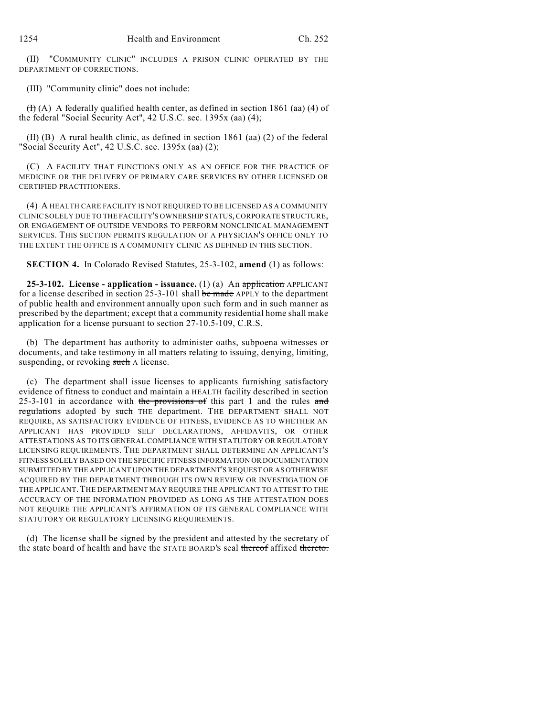(II) "COMMUNITY CLINIC" INCLUDES A PRISON CLINIC OPERATED BY THE DEPARTMENT OF CORRECTIONS.

(III) "Community clinic" does not include:

 $(H)(A)$  A federally qualified health center, as defined in section 1861 (aa) (4) of the federal "Social Security Act", 42 U.S.C. sec. 1395x (aa) (4);

 $(H)$  (B) A rural health clinic, as defined in section 1861 (aa) (2) of the federal "Social Security Act", 42 U.S.C. sec. 1395x (aa) (2);

(C) A FACILITY THAT FUNCTIONS ONLY AS AN OFFICE FOR THE PRACTICE OF MEDICINE OR THE DELIVERY OF PRIMARY CARE SERVICES BY OTHER LICENSED OR CERTIFIED PRACTITIONERS.

(4) A HEALTH CARE FACILITY IS NOT REQUIRED TO BE LICENSED AS A COMMUNITY CLINIC SOLELY DUE TO THE FACILITY'S OWNERSHIP STATUS,CORPORATE STRUCTURE, OR ENGAGEMENT OF OUTSIDE VENDORS TO PERFORM NONCLINICAL MANAGEMENT SERVICES. THIS SECTION PERMITS REGULATION OF A PHYSICIAN'S OFFICE ONLY TO THE EXTENT THE OFFICE IS A COMMUNITY CLINIC AS DEFINED IN THIS SECTION.

**SECTION 4.** In Colorado Revised Statutes, 25-3-102, **amend** (1) as follows:

**25-3-102. License - application - issuance.** (1) (a) An application APPLICANT for a license described in section 25-3-101 shall be made APPLY to the department of public health and environment annually upon such form and in such manner as prescribed by the department; except that a community residential home shall make application for a license pursuant to section 27-10.5-109, C.R.S.

(b) The department has authority to administer oaths, subpoena witnesses or documents, and take testimony in all matters relating to issuing, denying, limiting, suspending, or revoking such A license.

(c) The department shall issue licenses to applicants furnishing satisfactory evidence of fitness to conduct and maintain a HEALTH facility described in section  $25-3-101$  in accordance with the provisions of this part 1 and the rules and regulations adopted by such THE department. THE DEPARTMENT SHALL NOT REQUIRE, AS SATISFACTORY EVIDENCE OF FITNESS, EVIDENCE AS TO WHETHER AN APPLICANT HAS PROVIDED SELF DECLARATIONS, AFFIDAVITS, OR OTHER ATTESTATIONS AS TO ITS GENERAL COMPLIANCE WITH STATUTORY OR REGULATORY LICENSING REQUIREMENTS. THE DEPARTMENT SHALL DETERMINE AN APPLICANT'S FITNESS SOLELY BASED ON THE SPECIFIC FITNESS INFORMATION OR DOCUMENTATION SUBMITTED BY THE APPLICANT UPON THE DEPARTMENT'S REQUEST OR AS OTHERWISE ACQUIRED BY THE DEPARTMENT THROUGH ITS OWN REVIEW OR INVESTIGATION OF THE APPLICANT. THE DEPARTMENT MAY REQUIRE THE APPLICANT TO ATTEST TO THE ACCURACY OF THE INFORMATION PROVIDED AS LONG AS THE ATTESTATION DOES NOT REQUIRE THE APPLICANT'S AFFIRMATION OF ITS GENERAL COMPLIANCE WITH STATUTORY OR REGULATORY LICENSING REQUIREMENTS.

(d) The license shall be signed by the president and attested by the secretary of the state board of health and have the STATE BOARD'S seal thereof affixed thereto.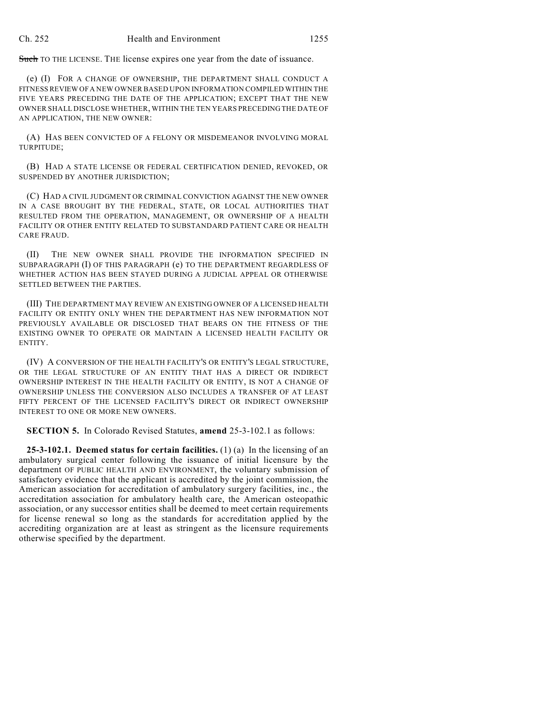Such TO THE LICENSE. THE license expires one year from the date of issuance.

(e) (I) FOR A CHANGE OF OWNERSHIP, THE DEPARTMENT SHALL CONDUCT A FITNESS REVIEW OFA NEW OWNER BASED UPON INFORMATION COMPILED WITHIN THE FIVE YEARS PRECEDING THE DATE OF THE APPLICATION; EXCEPT THAT THE NEW OWNER SHALL DISCLOSE WHETHER, WITHIN THE TEN YEARS PRECEDING THE DATE OF AN APPLICATION, THE NEW OWNER:

(A) HAS BEEN CONVICTED OF A FELONY OR MISDEMEANOR INVOLVING MORAL TURPITUDE;

(B) HAD A STATE LICENSE OR FEDERAL CERTIFICATION DENIED, REVOKED, OR SUSPENDED BY ANOTHER JURISDICTION;

(C) HAD A CIVIL JUDGMENT OR CRIMINAL CONVICTION AGAINST THE NEW OWNER IN A CASE BROUGHT BY THE FEDERAL, STATE, OR LOCAL AUTHORITIES THAT RESULTED FROM THE OPERATION, MANAGEMENT, OR OWNERSHIP OF A HEALTH FACILITY OR OTHER ENTITY RELATED TO SUBSTANDARD PATIENT CARE OR HEALTH CARE FRAUD.

(II) THE NEW OWNER SHALL PROVIDE THE INFORMATION SPECIFIED IN SUBPARAGRAPH (I) OF THIS PARAGRAPH (e) TO THE DEPARTMENT REGARDLESS OF WHETHER ACTION HAS BEEN STAYED DURING A JUDICIAL APPEAL OR OTHERWISE SETTLED BETWEEN THE PARTIES.

(III) THE DEPARTMENT MAY REVIEW AN EXISTING OWNER OF A LICENSED HEALTH FACILITY OR ENTITY ONLY WHEN THE DEPARTMENT HAS NEW INFORMATION NOT PREVIOUSLY AVAILABLE OR DISCLOSED THAT BEARS ON THE FITNESS OF THE EXISTING OWNER TO OPERATE OR MAINTAIN A LICENSED HEALTH FACILITY OR ENTITY.

(IV) A CONVERSION OF THE HEALTH FACILITY'S OR ENTITY'S LEGAL STRUCTURE, OR THE LEGAL STRUCTURE OF AN ENTITY THAT HAS A DIRECT OR INDIRECT OWNERSHIP INTEREST IN THE HEALTH FACILITY OR ENTITY, IS NOT A CHANGE OF OWNERSHIP UNLESS THE CONVERSION ALSO INCLUDES A TRANSFER OF AT LEAST FIFTY PERCENT OF THE LICENSED FACILITY'S DIRECT OR INDIRECT OWNERSHIP INTEREST TO ONE OR MORE NEW OWNERS.

**SECTION 5.** In Colorado Revised Statutes, **amend** 25-3-102.1 as follows:

**25-3-102.1. Deemed status for certain facilities.** (1) (a) In the licensing of an ambulatory surgical center following the issuance of initial licensure by the department OF PUBLIC HEALTH AND ENVIRONMENT, the voluntary submission of satisfactory evidence that the applicant is accredited by the joint commission, the American association for accreditation of ambulatory surgery facilities, inc., the accreditation association for ambulatory health care, the American osteopathic association, or any successor entities shall be deemed to meet certain requirements for license renewal so long as the standards for accreditation applied by the accrediting organization are at least as stringent as the licensure requirements otherwise specified by the department.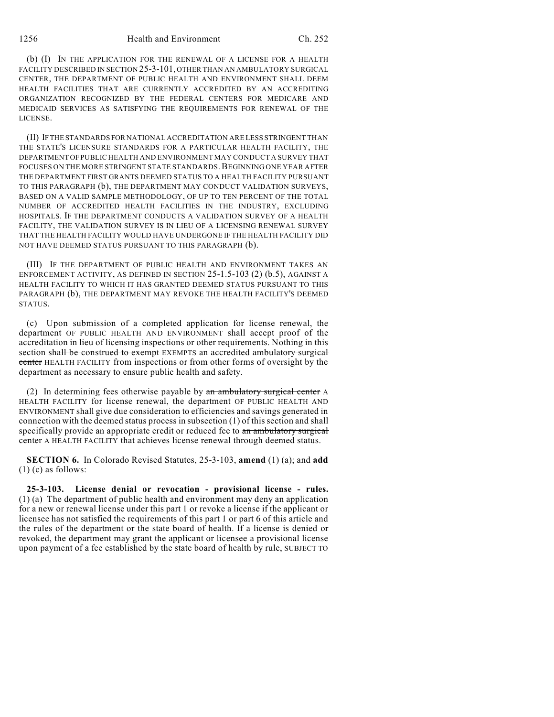## 1256 Health and Environment Ch. 252

(b) (I) IN THE APPLICATION FOR THE RENEWAL OF A LICENSE FOR A HEALTH FACILITY DESCRIBED IN SECTION 25-3-101, OTHER THAN AN AMBULATORY SURGICAL CENTER, THE DEPARTMENT OF PUBLIC HEALTH AND ENVIRONMENT SHALL DEEM HEALTH FACILITIES THAT ARE CURRENTLY ACCREDITED BY AN ACCREDITING ORGANIZATION RECOGNIZED BY THE FEDERAL CENTERS FOR MEDICARE AND MEDICAID SERVICES AS SATISFYING THE REQUIREMENTS FOR RENEWAL OF THE LICENSE.

(II) IFTHE STANDARDS FOR NATIONAL ACCREDITATION ARE LESS STRINGENT THAN THE STATE'S LICENSURE STANDARDS FOR A PARTICULAR HEALTH FACILITY, THE DEPARTMENT OF PUBLIC HEALTH AND ENVIRONMENT MAY CONDUCT A SURVEY THAT FOCUSES ON THE MORE STRINGENT STATE STANDARDS. BEGINNING ONE YEAR AFTER THE DEPARTMENT FIRST GRANTS DEEMED STATUS TO A HEALTH FACILITY PURSUANT TO THIS PARAGRAPH (b), THE DEPARTMENT MAY CONDUCT VALIDATION SURVEYS, BASED ON A VALID SAMPLE METHODOLOGY, OF UP TO TEN PERCENT OF THE TOTAL NUMBER OF ACCREDITED HEALTH FACILITIES IN THE INDUSTRY, EXCLUDING HOSPITALS. IF THE DEPARTMENT CONDUCTS A VALIDATION SURVEY OF A HEALTH FACILITY, THE VALIDATION SURVEY IS IN LIEU OF A LICENSING RENEWAL SURVEY THAT THE HEALTH FACILITY WOULD HAVE UNDERGONE IF THE HEALTH FACILITY DID NOT HAVE DEEMED STATUS PURSUANT TO THIS PARAGRAPH (b).

(III) IF THE DEPARTMENT OF PUBLIC HEALTH AND ENVIRONMENT TAKES AN ENFORCEMENT ACTIVITY, AS DEFINED IN SECTION 25-1.5-103 (2) (b.5), AGAINST A HEALTH FACILITY TO WHICH IT HAS GRANTED DEEMED STATUS PURSUANT TO THIS PARAGRAPH (b), THE DEPARTMENT MAY REVOKE THE HEALTH FACILITY'S DEEMED STATUS.

(c) Upon submission of a completed application for license renewal, the department OF PUBLIC HEALTH AND ENVIRONMENT shall accept proof of the accreditation in lieu of licensing inspections or other requirements. Nothing in this section shall be construed to exempt EXEMPTS an accredited ambulatory surgical center HEALTH FACILITY from inspections or from other forms of oversight by the department as necessary to ensure public health and safety.

(2) In determining fees otherwise payable by an ambulatory surgical center A HEALTH FACILITY for license renewal, the department OF PUBLIC HEALTH AND ENVIRONMENT shall give due consideration to efficiencies and savings generated in connection with the deemed status process in subsection (1) of this section and shall specifically provide an appropriate credit or reduced fee to an ambulatory surgical center A HEALTH FACILITY that achieves license renewal through deemed status.

**SECTION 6.** In Colorado Revised Statutes, 25-3-103, **amend** (1) (a); and **add**  $(1)$  (c) as follows:

**25-3-103. License denial or revocation - provisional license - rules.** (1) (a) The department of public health and environment may deny an application for a new or renewal license under this part 1 or revoke a license if the applicant or licensee has not satisfied the requirements of this part 1 or part 6 of this article and the rules of the department or the state board of health. If a license is denied or revoked, the department may grant the applicant or licensee a provisional license upon payment of a fee established by the state board of health by rule, SUBJECT TO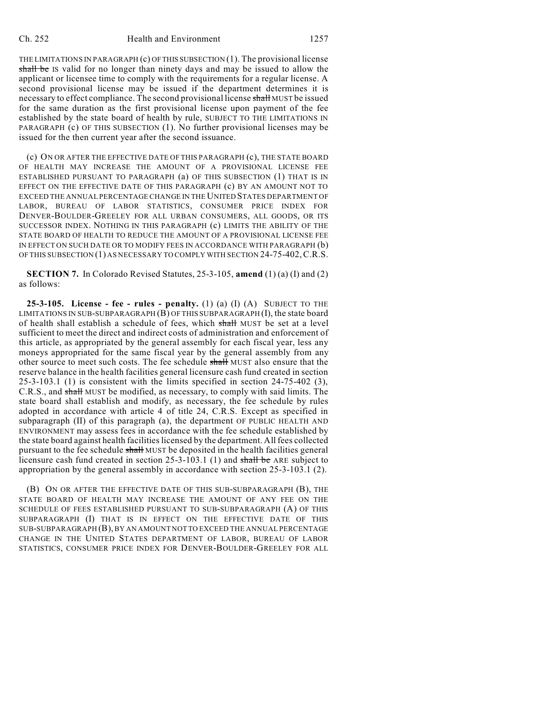THE LIMITATIONS IN PARAGRAPH (c) OFTHIS SUBSECTION (1). The provisional license shall be IS valid for no longer than ninety days and may be issued to allow the applicant or licensee time to comply with the requirements for a regular license. A second provisional license may be issued if the department determines it is necessary to effect compliance. The second provisional license shall MUST be issued for the same duration as the first provisional license upon payment of the fee established by the state board of health by rule, SUBJECT TO THE LIMITATIONS IN PARAGRAPH (c) OF THIS SUBSECTION (1). No further provisional licenses may be issued for the then current year after the second issuance.

(c) ON OR AFTER THE EFFECTIVE DATE OF THIS PARAGRAPH (c), THE STATE BOARD OF HEALTH MAY INCREASE THE AMOUNT OF A PROVISIONAL LICENSE FEE ESTABLISHED PURSUANT TO PARAGRAPH (a) OF THIS SUBSECTION (1) THAT IS IN EFFECT ON THE EFFECTIVE DATE OF THIS PARAGRAPH (c) BY AN AMOUNT NOT TO EXCEED THE ANNUAL PERCENTAGE CHANGE IN THE UNITED STATES DEPARTMENT OF LABOR, BUREAU OF LABOR STATISTICS, CONSUMER PRICE INDEX FOR DENVER-BOULDER-GREELEY FOR ALL URBAN CONSUMERS, ALL GOODS, OR ITS SUCCESSOR INDEX. NOTHING IN THIS PARAGRAPH (c) LIMITS THE ABILITY OF THE STATE BOARD OF HEALTH TO REDUCE THE AMOUNT OF A PROVISIONAL LICENSE FEE IN EFFECT ON SUCH DATE OR TO MODIFY FEES IN ACCORDANCE WITH PARAGRAPH (b) OF THIS SUBSECTION (1) AS NECESSARY TO COMPLY WITH SECTION 24-75-402,C.R.S.

**SECTION 7.** In Colorado Revised Statutes, 25-3-105, **amend** (1) (a) (I) and (2) as follows:

**25-3-105. License - fee - rules - penalty.** (1) (a) (I) (A) SUBJECT TO THE LIMITATIONS IN SUB-SUBPARAGRAPH  $(B)$  OF THIS SUBPARAGRAPH  $(I)$ , the state board of health shall establish a schedule of fees, which shall MUST be set at a level sufficient to meet the direct and indirect costs of administration and enforcement of this article, as appropriated by the general assembly for each fiscal year, less any moneys appropriated for the same fiscal year by the general assembly from any other source to meet such costs. The fee schedule shall MUST also ensure that the reserve balance in the health facilities general licensure cash fund created in section  $25-3-103.1$  (1) is consistent with the limits specified in section  $24-75-402$  (3), C.R.S., and shall MUST be modified, as necessary, to comply with said limits. The state board shall establish and modify, as necessary, the fee schedule by rules adopted in accordance with article 4 of title 24, C.R.S. Except as specified in subparagraph (II) of this paragraph (a), the department OF PUBLIC HEALTH AND ENVIRONMENT may assess fees in accordance with the fee schedule established by the state board against health facilities licensed by the department. All fees collected pursuant to the fee schedule shall MUST be deposited in the health facilities general licensure cash fund created in section 25-3-103.1 (1) and shall be ARE subject to appropriation by the general assembly in accordance with section 25-3-103.1 (2).

(B) ON OR AFTER THE EFFECTIVE DATE OF THIS SUB-SUBPARAGRAPH (B), THE STATE BOARD OF HEALTH MAY INCREASE THE AMOUNT OF ANY FEE ON THE SCHEDULE OF FEES ESTABLISHED PURSUANT TO SUB-SUBPARAGRAPH (A) OF THIS SUBPARAGRAPH (I) THAT IS IN EFFECT ON THE EFFECTIVE DATE OF THIS SUB-SUBPARAGRAPH (B), BY AN AMOUNT NOT TO EXCEED THE ANNUAL PERCENTAGE CHANGE IN THE UNITED STATES DEPARTMENT OF LABOR, BUREAU OF LABOR STATISTICS, CONSUMER PRICE INDEX FOR DENVER-BOULDER-GREELEY FOR ALL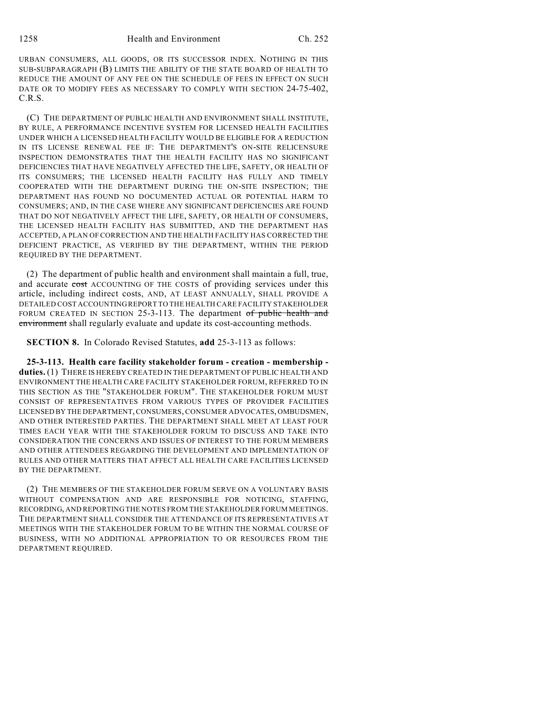URBAN CONSUMERS, ALL GOODS, OR ITS SUCCESSOR INDEX. NOTHING IN THIS SUB-SUBPARAGRAPH (B) LIMITS THE ABILITY OF THE STATE BOARD OF HEALTH TO REDUCE THE AMOUNT OF ANY FEE ON THE SCHEDULE OF FEES IN EFFECT ON SUCH DATE OR TO MODIFY FEES AS NECESSARY TO COMPLY WITH SECTION 24-75-402, C.R.S.

(C) THE DEPARTMENT OF PUBLIC HEALTH AND ENVIRONMENT SHALL INSTITUTE, BY RULE, A PERFORMANCE INCENTIVE SYSTEM FOR LICENSED HEALTH FACILITIES UNDER WHICH A LICENSED HEALTH FACILITY WOULD BE ELIGIBLE FOR A REDUCTION IN ITS LICENSE RENEWAL FEE IF: THE DEPARTMENT'S ON-SITE RELICENSURE INSPECTION DEMONSTRATES THAT THE HEALTH FACILITY HAS NO SIGNIFICANT DEFICIENCIES THAT HAVE NEGATIVELY AFFECTED THE LIFE, SAFETY, OR HEALTH OF ITS CONSUMERS; THE LICENSED HEALTH FACILITY HAS FULLY AND TIMELY COOPERATED WITH THE DEPARTMENT DURING THE ON-SITE INSPECTION; THE DEPARTMENT HAS FOUND NO DOCUMENTED ACTUAL OR POTENTIAL HARM TO CONSUMERS; AND, IN THE CASE WHERE ANY SIGNIFICANT DEFICIENCIES ARE FOUND THAT DO NOT NEGATIVELY AFFECT THE LIFE, SAFETY, OR HEALTH OF CONSUMERS, THE LICENSED HEALTH FACILITY HAS SUBMITTED, AND THE DEPARTMENT HAS ACCEPTED, A PLAN OF CORRECTION AND THE HEALTH FACILITY HAS CORRECTED THE DEFICIENT PRACTICE, AS VERIFIED BY THE DEPARTMENT, WITHIN THE PERIOD REQUIRED BY THE DEPARTMENT.

(2) The department of public health and environment shall maintain a full, true, and accurate cost ACCOUNTING OF THE COSTS of providing services under this article, including indirect costs, AND, AT LEAST ANNUALLY, SHALL PROVIDE A DETAILED COST ACCOUNTING REPORT TO THE HEALTH CARE FACILITY STAKEHOLDER FORUM CREATED IN SECTION 25-3-113. The department of public health and environment shall regularly evaluate and update its cost-accounting methods.

**SECTION 8.** In Colorado Revised Statutes, **add** 25-3-113 as follows:

**25-3-113. Health care facility stakeholder forum - creation - membership duties.** (1) THERE IS HEREBY CREATED IN THE DEPARTMENT OF PUBLIC HEALTH AND ENVIRONMENT THE HEALTH CARE FACILITY STAKEHOLDER FORUM, REFERRED TO IN THIS SECTION AS THE "STAKEHOLDER FORUM". THE STAKEHOLDER FORUM MUST CONSIST OF REPRESENTATIVES FROM VARIOUS TYPES OF PROVIDER FACILITIES LICENSED BY THE DEPARTMENT,CONSUMERS, CONSUMER ADVOCATES, OMBUDSMEN, AND OTHER INTERESTED PARTIES. THE DEPARTMENT SHALL MEET AT LEAST FOUR TIMES EACH YEAR WITH THE STAKEHOLDER FORUM TO DISCUSS AND TAKE INTO CONSIDERATION THE CONCERNS AND ISSUES OF INTEREST TO THE FORUM MEMBERS AND OTHER ATTENDEES REGARDING THE DEVELOPMENT AND IMPLEMENTATION OF RULES AND OTHER MATTERS THAT AFFECT ALL HEALTH CARE FACILITIES LICENSED BY THE DEPARTMENT.

(2) THE MEMBERS OF THE STAKEHOLDER FORUM SERVE ON A VOLUNTARY BASIS WITHOUT COMPENSATION AND ARE RESPONSIBLE FOR NOTICING, STAFFING, RECORDING, AND REPORTING THE NOTES FROM THE STAKEHOLDER FORUM MEETINGS. THE DEPARTMENT SHALL CONSIDER THE ATTENDANCE OF ITS REPRESENTATIVES AT MEETINGS WITH THE STAKEHOLDER FORUM TO BE WITHIN THE NORMAL COURSE OF BUSINESS, WITH NO ADDITIONAL APPROPRIATION TO OR RESOURCES FROM THE DEPARTMENT REQUIRED.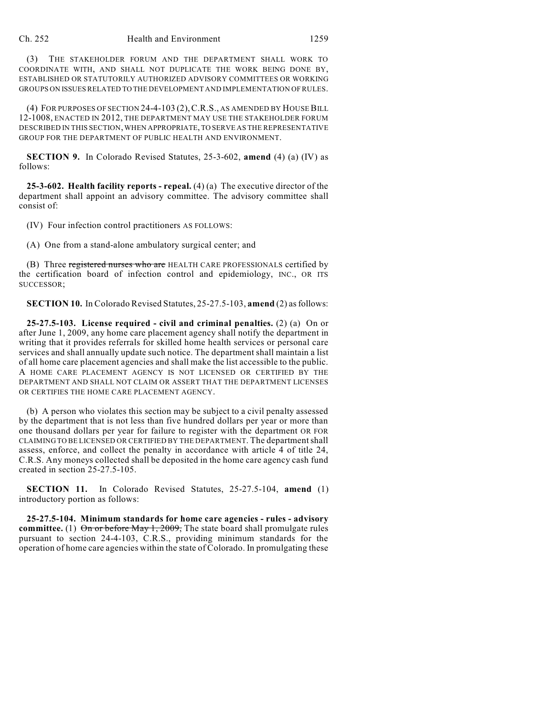(3) THE STAKEHOLDER FORUM AND THE DEPARTMENT SHALL WORK TO COORDINATE WITH, AND SHALL NOT DUPLICATE THE WORK BEING DONE BY, ESTABLISHED OR STATUTORILY AUTHORIZED ADVISORY COMMITTEES OR WORKING GROUPS ON ISSUESRELATED TO THE DEVELOPMENT AND IMPLEMENTATION OF RULES.

(4) FOR PURPOSES OF SECTION 24-4-103 (2),C.R.S., AS AMENDED BY HOUSEBILL 12-1008, ENACTED IN 2012, THE DEPARTMENT MAY USE THE STAKEHOLDER FORUM DESCRIBED IN THIS SECTION,WHEN APPROPRIATE, TO SERVE AS THE REPRESENTATIVE GROUP FOR THE DEPARTMENT OF PUBLIC HEALTH AND ENVIRONMENT.

**SECTION 9.** In Colorado Revised Statutes, 25-3-602, **amend** (4) (a) (IV) as follows:

**25-3-602. Health facility reports - repeal.** (4) (a) The executive director of the department shall appoint an advisory committee. The advisory committee shall consist of:

(IV) Four infection control practitioners AS FOLLOWS:

(A) One from a stand-alone ambulatory surgical center; and

(B) Three registered nurses who are HEALTH CARE PROFESSIONALS certified by the certification board of infection control and epidemiology, INC., OR ITS SUCCESSOR;

**SECTION 10.** In Colorado Revised Statutes, 25-27.5-103, **amend** (2) asfollows:

**25-27.5-103. License required - civil and criminal penalties.** (2) (a) On or after June 1, 2009, any home care placement agency shall notify the department in writing that it provides referrals for skilled home health services or personal care services and shall annually update such notice. The department shall maintain a list of all home care placement agencies and shall make the list accessible to the public. A HOME CARE PLACEMENT AGENCY IS NOT LICENSED OR CERTIFIED BY THE DEPARTMENT AND SHALL NOT CLAIM OR ASSERT THAT THE DEPARTMENT LICENSES OR CERTIFIES THE HOME CARE PLACEMENT AGENCY.

(b) A person who violates this section may be subject to a civil penalty assessed by the department that is not less than five hundred dollars per year or more than one thousand dollars per year for failure to register with the department OR FOR CLAIMING TO BE LICENSED OR CERTIFIED BY THE DEPARTMENT. The departmentshall assess, enforce, and collect the penalty in accordance with article 4 of title 24, C.R.S. Any moneys collected shall be deposited in the home care agency cash fund created in section 25-27.5-105.

**SECTION 11.** In Colorado Revised Statutes, 25-27.5-104, **amend** (1) introductory portion as follows:

**25-27.5-104. Minimum standards for home care agencies - rules - advisory committee.** (1)  $\Theta$ n or before May 1, 2009, The state board shall promulgate rules pursuant to section 24-4-103, C.R.S., providing minimum standards for the operation of home care agencies within the state of Colorado. In promulgating these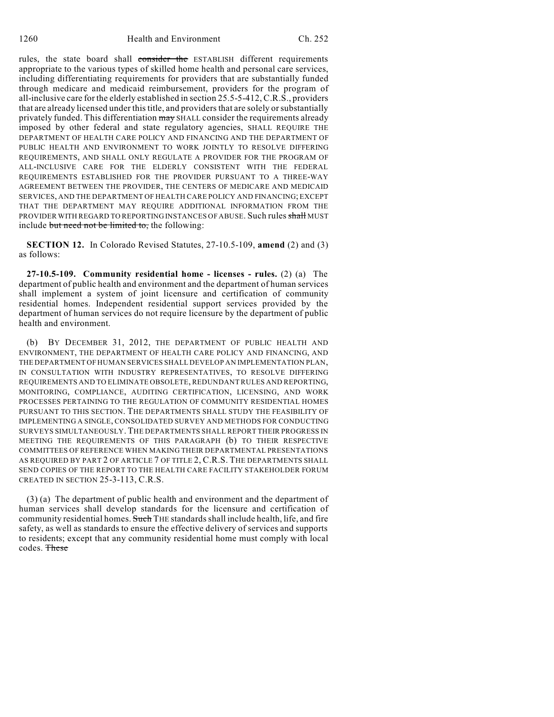rules, the state board shall consider the ESTABLISH different requirements appropriate to the various types of skilled home health and personal care services, including differentiating requirements for providers that are substantially funded through medicare and medicaid reimbursement, providers for the program of all-inclusive care for the elderly established in section 25.5-5-412, C.R.S., providers that are already licensed under this title, and providers that are solely or substantially privately funded. This differentiation may SHALL consider the requirements already imposed by other federal and state regulatory agencies, SHALL REQUIRE THE DEPARTMENT OF HEALTH CARE POLICY AND FINANCING AND THE DEPARTMENT OF PUBLIC HEALTH AND ENVIRONMENT TO WORK JOINTLY TO RESOLVE DIFFERING REQUIREMENTS, AND SHALL ONLY REGULATE A PROVIDER FOR THE PROGRAM OF ALL-INCLUSIVE CARE FOR THE ELDERLY CONSISTENT WITH THE FEDERAL REQUIREMENTS ESTABLISHED FOR THE PROVIDER PURSUANT TO A THREE-WAY AGREEMENT BETWEEN THE PROVIDER, THE CENTERS OF MEDICARE AND MEDICAID SERVICES, AND THE DEPARTMENT OF HEALTH CARE POLICY AND FINANCING; EXCEPT THAT THE DEPARTMENT MAY REQUIRE ADDITIONAL INFORMATION FROM THE PROVIDER WITH REGARD TO REPORTING INSTANCES OF ABUSE. Such rules shall MUST include but need not be limited to, the following:

**SECTION 12.** In Colorado Revised Statutes, 27-10.5-109, **amend** (2) and (3) as follows:

**27-10.5-109. Community residential home - licenses - rules.** (2) (a) The department of public health and environment and the department of human services shall implement a system of joint licensure and certification of community residential homes. Independent residential support services provided by the department of human services do not require licensure by the department of public health and environment.

(b) BY DECEMBER 31, 2012, THE DEPARTMENT OF PUBLIC HEALTH AND ENVIRONMENT, THE DEPARTMENT OF HEALTH CARE POLICY AND FINANCING, AND THE DEPARTMENT OF HUMAN SERVICES SHALL DEVELOP AN IMPLEMENTATION PLAN, IN CONSULTATION WITH INDUSTRY REPRESENTATIVES, TO RESOLVE DIFFERING REQUIREMENTS AND TO ELIMINATE OBSOLETE, REDUNDANT RULES AND REPORTING, MONITORING, COMPLIANCE, AUDITING CERTIFICATION, LICENSING, AND WORK PROCESSES PERTAINING TO THE REGULATION OF COMMUNITY RESIDENTIAL HOMES PURSUANT TO THIS SECTION. THE DEPARTMENTS SHALL STUDY THE FEASIBILITY OF IMPLEMENTING A SINGLE, CONSOLIDATED SURVEY AND METHODS FOR CONDUCTING SURVEYS SIMULTANEOUSLY. THE DEPARTMENTS SHALL REPORT THEIR PROGRESS IN MEETING THE REQUIREMENTS OF THIS PARAGRAPH (b) TO THEIR RESPECTIVE COMMITTEES OF REFERENCE WHEN MAKING THEIR DEPARTMENTAL PRESENTATIONS AS REQUIRED BY PART 2 OF ARTICLE 7 OF TITLE 2, C.R.S. THE DEPARTMENTS SHALL SEND COPIES OF THE REPORT TO THE HEALTH CARE FACILITY STAKEHOLDER FORUM CREATED IN SECTION 25-3-113, C.R.S.

(3) (a) The department of public health and environment and the department of human services shall develop standards for the licensure and certification of community residential homes. Such THE standards shall include health, life, and fire safety, as well as standards to ensure the effective delivery of services and supports to residents; except that any community residential home must comply with local codes. These